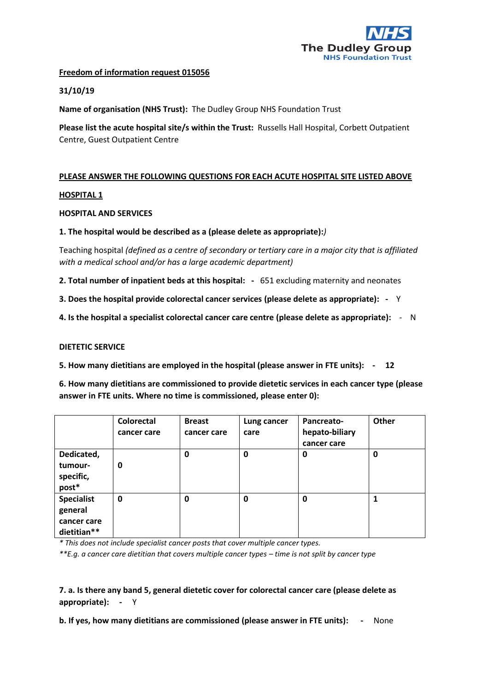

# **Freedom of information request 015056**

# **31/10/19**

**Name of organisation (NHS Trust):** The Dudley Group NHS Foundation Trust

**Please list the acute hospital site/s within the Trust:** Russells Hall Hospital, Corbett Outpatient Centre, Guest Outpatient Centre

# **PLEASE ANSWER THE FOLLOWING QUESTIONS FOR EACH ACUTE HOSPITAL SITE LISTED ABOVE**

# **HOSPITAL 1**

#### **HOSPITAL AND SERVICES**

#### **1. The hospital would be described as a (please delete as appropriate):***)*

Teaching hospital *(defined as a centre of secondary or tertiary care in a major city that is affiliated with a medical school and/or has a large academic department)*

**2. Total number of inpatient beds at this hospital: -** 651 excluding maternity and neonates

**3. Does the hospital provide colorectal cancer services (please delete as appropriate): -** Y

**4. Is the hospital a specialist colorectal cancer care centre (please delete as appropriate):** - N

#### **DIETETIC SERVICE**

**5. How many dietitians are employed in the hospital (please answer in FTE units): - 12**

**6. How many dietitians are commissioned to provide dietetic services in each cancer type (please answer in FTE units. Where no time is commissioned, please enter 0):** 

|                                                            | <b>Colorectal</b><br>cancer care | <b>Breast</b><br>cancer care | Lung cancer<br>care | Pancreato-<br>hepato-biliary<br>cancer care | Other |
|------------------------------------------------------------|----------------------------------|------------------------------|---------------------|---------------------------------------------|-------|
| Dedicated,<br>tumour-<br>specific,<br>post*                | 0                                | 0                            | 0                   | 0                                           | 0     |
| <b>Specialist</b><br>general<br>cancer care<br>dietitian** | 0                                | 0                            | 0                   | 0                                           |       |

*\* This does not include specialist cancer posts that cover multiple cancer types.*

*\*\*E.g. a cancer care dietitian that covers multiple cancer types – time is not split by cancer type*

# **7. a. Is there any band 5, general dietetic cover for colorectal cancer care (please delete as appropriate): -** Y

**b. If yes, how many dietitians are commissioned (please answer in FTE units): -** None